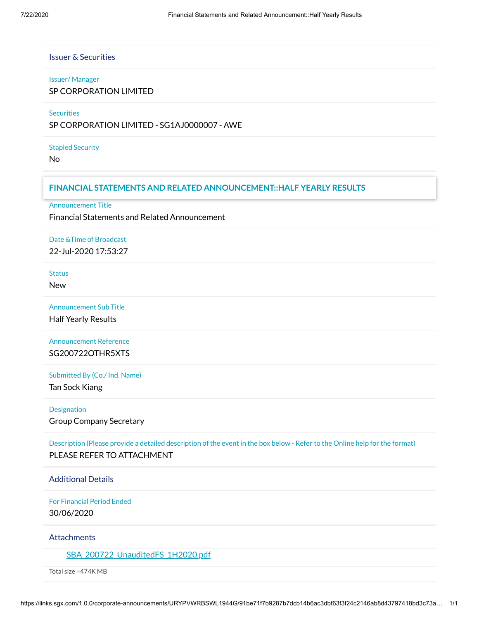## Issuer & Securities

#### Issuer/ Manager

SP CORPORATION LIMITED

**Securities** 

SP CORPORATION LIMITED - SG1AJ0000007 - AWE

## Stapled Security

No

# **FINANCIAL STATEMENTS AND RELATED ANNOUNCEMENT::HALF YEARLY RESULTS**

Announcement Title

Financial Statements and Related Announcement

# Date &Time of Broadcast

22-Jul-2020 17:53:27

**Status** 

New

Announcement Sub Title Half Yearly Results

Announcement Reference SG200722OTHR5XTS

## Submitted By (Co./ Ind. Name)

Tan Sock Kiang

## Designation

Group Company Secretary

Description (Please provide a detailed description of the event in the box below - Refer to the Online help for the format) PLEASE REFER TO ATTACHMENT

## Additional Details

For Financial Period Ended 30/06/2020

## **Attachments**

[SBA\\_200722\\_UnauditedFS\\_1H2020.pdf](https://links.sgx.com/1.0.0/corporate-announcements/URYPVWRBSWL1944G/SBA_200722_UnauditedFS_1H2020.pdf)

Total size =474K MB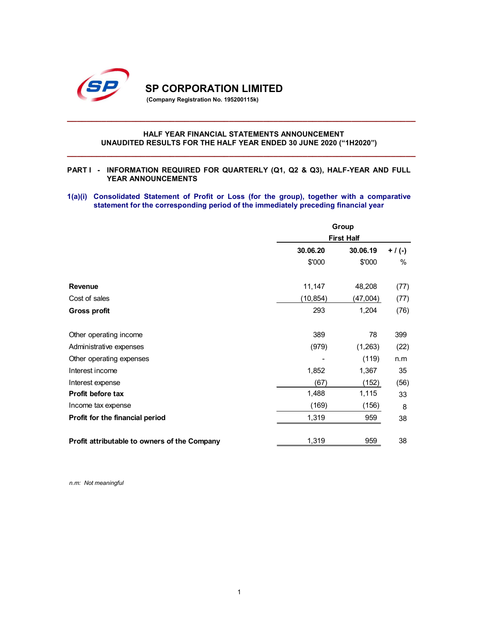

## HALF YEAR FINANCIAL STATEMENTS ANNOUNCEMENT UNAUDITED RESULTS FOR THE HALF YEAR ENDED 30 JUNE 2020 ("1H2020")

## PART I - INFORMATION REQUIRED FOR QUARTERLY (Q1, Q2 & Q3), HALF-YEAR AND FULL YEAR ANNOUNCEMENTS

## 1(a)(i) Consolidated Statement of Profit or Loss (for the group), together with a comparative statement for the corresponding period of the immediately preceding financial year

| <b>SP CORPORATION LIMITED</b><br>(Company Registration No. 195200115k)                                                                                                              |                          |                   |           |
|-------------------------------------------------------------------------------------------------------------------------------------------------------------------------------------|--------------------------|-------------------|-----------|
| HALF YEAR FINANCIAL STATEMENTS ANNOUNCEMENT<br>UNAUDITED RESULTS FOR THE HALF YEAR ENDED 30 JUNE 2020 ("1H2020")                                                                    |                          |                   |           |
| <b>PARTI</b> -<br>INFORMATION REQUIRED FOR QUARTERLY (Q1, Q2 & Q3), HALF-YEAR AND FULL<br>YEAR ANNOUNCEMENTS                                                                        |                          |                   |           |
| 1(a)(i) Consolidated Statement of Profit or Loss (for the group), together with a comparative<br>statement for the corresponding period of the immediately preceding financial year |                          |                   |           |
|                                                                                                                                                                                     |                          | Group             |           |
|                                                                                                                                                                                     |                          | <b>First Half</b> |           |
|                                                                                                                                                                                     | 30.06.20                 | 30.06.19          | $+ / (-)$ |
|                                                                                                                                                                                     | \$'000                   | \$'000            | $\%$      |
| Revenue                                                                                                                                                                             | 11,147                   | 48,208            | (77)      |
| Cost of sales                                                                                                                                                                       | (10, 854)                | (47,004)          | (77)      |
| <b>Gross profit</b>                                                                                                                                                                 | 293                      | 1,204             | (76)      |
| Other operating income                                                                                                                                                              | 389                      | 78                | 399       |
| Administrative expenses                                                                                                                                                             | (979)                    | (1,263)           | (22)      |
| Other operating expenses                                                                                                                                                            | $\overline{\phantom{a}}$ | (119)             | n.m       |
| Interest income                                                                                                                                                                     | 1,852                    | 1,367             | 35        |
| Interest expense                                                                                                                                                                    | (67)                     | (152)             | (56)      |
| Profit before tax                                                                                                                                                                   | 1,488                    | 1,115             | 33        |
| Income tax expense                                                                                                                                                                  | (169)                    | (156)             | 8         |
| Profit for the financial period                                                                                                                                                     | 1,319                    | 959               | 38        |
| Profit attributable to owners of the Company                                                                                                                                        | 1,319                    | 959               | 38        |

n.m: Not meaningful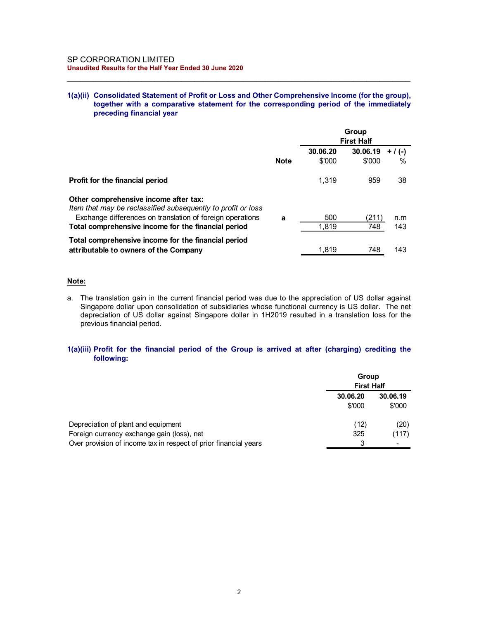## 1(a)(ii) Consolidated Statement of Profit or Loss and Other Comprehensive Income (for the group), together with a comparative statement for the corresponding period of the immediately preceding financial year

| <b>SP CORPORATION LIMITED</b>                                                                                    |             |              |                            |            |
|------------------------------------------------------------------------------------------------------------------|-------------|--------------|----------------------------|------------|
|                                                                                                                  |             |              |                            |            |
|                                                                                                                  |             |              |                            |            |
|                                                                                                                  |             |              |                            |            |
| Unaudited Results for the Half Year Ended 30 June 2020                                                           |             |              |                            |            |
|                                                                                                                  |             |              |                            |            |
|                                                                                                                  |             |              | Group<br><b>First Half</b> |            |
|                                                                                                                  |             |              |                            |            |
|                                                                                                                  |             | 30.06.20     | $30.06.19 + / (-)$         |            |
|                                                                                                                  | <b>Note</b> | \$'000       | \$'000                     | %          |
| Profit for the financial period                                                                                  |             | 1,319        | 959                        | 38         |
| Other comprehensive income after tax:<br>Item that may be reclassified subsequently to profit or loss            |             |              |                            |            |
| Exchange differences on translation of foreign operations<br>Total comprehensive income for the financial period | a           | 500<br>1,819 | (211)<br>748               | n.m<br>143 |
| Total comprehensive income for the financial period<br>attributable to owners of the Company                     |             | 1,819        | 748                        | 143        |

## Note:

## 1(a)(iii) Profit for the financial period of the Group is arrived at after (charging) crediting the following:

| 1(a)(iii) Profit for the financial period of the Group is arrived at after (charging) crediting the<br>following:<br>Depreciation of plant and equipment<br>Foreign currency exchange gain (loss), net                                   |   | Group<br><b>First Half</b><br>30.06.20<br>\$'000<br>(12)<br>325 | 30.06.19<br>\$'000<br>(20)<br>(117) |
|------------------------------------------------------------------------------------------------------------------------------------------------------------------------------------------------------------------------------------------|---|-----------------------------------------------------------------|-------------------------------------|
|                                                                                                                                                                                                                                          |   |                                                                 |                                     |
|                                                                                                                                                                                                                                          |   |                                                                 |                                     |
|                                                                                                                                                                                                                                          |   |                                                                 |                                     |
| Singapore dollar upon consolidation of subsidiaries whose functional currency is US dollar. The net<br>depreciation of US dollar against Singapore dollar in 1H2019 resulted in a translation loss for the<br>previous financial period. |   |                                                                 |                                     |
| Note:<br>The translation gain in the current financial period was due to the appreciation of US dollar against<br>а.                                                                                                                     |   |                                                                 |                                     |
| Total comprehensive income for the financial period<br>attributable to owners of the Company                                                                                                                                             |   | 1,819                                                           | 143<br>748                          |
| Exchange differences on translation of foreign operations<br>Total comprehensive income for the financial period                                                                                                                         | a | 500<br>1,819                                                    | (211)<br>n.m<br>748<br>143          |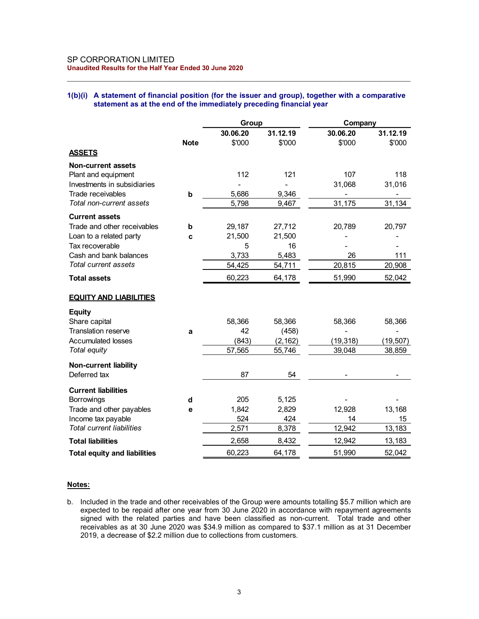## 1(b)(i) A statement of financial position (for the issuer and group), together with a comparative statement as at the end of the immediately preceding financial year

| SP CORPORATION LIMITED<br>Unaudited Results for the Half Year Ended 30 June 2020                  |             |                |                |                |              |
|---------------------------------------------------------------------------------------------------|-------------|----------------|----------------|----------------|--------------|
|                                                                                                   |             |                |                |                |              |
|                                                                                                   |             |                |                |                |              |
|                                                                                                   |             |                |                |                |              |
|                                                                                                   |             |                |                |                |              |
|                                                                                                   |             |                |                |                |              |
|                                                                                                   |             |                |                |                |              |
| 1(b)(i) A statement of financial position (for the issuer and group), together with a comparative |             |                |                |                |              |
| statement as at the end of the immediately preceding financial year                               |             |                |                |                |              |
|                                                                                                   |             |                |                |                |              |
|                                                                                                   |             | Group          |                | Company        |              |
|                                                                                                   |             | 30.06.20       | 31.12.19       | 30.06.20       | 31.12.19     |
|                                                                                                   | <b>Note</b> | \$'000         | \$'000         | \$'000         | \$'000       |
| <b>ASSETS</b>                                                                                     |             |                |                |                |              |
| <b>Non-current assets</b>                                                                         |             |                |                |                |              |
| Plant and equipment                                                                               |             | 112            | 121            | 107            | 118          |
| Investments in subsidiaries<br>Trade receivables                                                  |             |                |                | 31,068         | 31,016       |
| Total non-current assets                                                                          | $\mathbf b$ | 5,686<br>5,798 | 9,346<br>9,467 | 31,175         | 31,134       |
|                                                                                                   |             |                |                |                |              |
| <b>Current assets</b>                                                                             |             |                |                |                |              |
| Trade and other receivables                                                                       | b           | 29,187         | 27,712         | 20,789         | 20,797       |
| Loan to a related party<br>Tax recoverable                                                        | c           | 21,500<br>5    | 21,500<br>16   | $\overline{a}$ |              |
| Cash and bank balances                                                                            |             | 3,733          | 5,483          | 26             | 111          |
| Total current assets                                                                              |             | 54,425         | 54,711         | 20,815         | 20,908       |
| <b>Total assets</b>                                                                               |             | 60,223         | 64,178         | 51,990         | 52,042       |
|                                                                                                   |             |                |                |                |              |
| <b>EQUITY AND LIABILITIES</b>                                                                     |             |                |                |                |              |
|                                                                                                   |             |                |                |                |              |
| Equity<br>Share capital                                                                           |             | 58,366         | 58,366         | 58,366         | 58,366       |
| Translation reserve                                                                               | a           | 42             | (458)          |                |              |
| <b>Accumulated losses</b>                                                                         |             | (843)          | (2, 162)       | (19, 318)      | (19, 507)    |
| Total equity                                                                                      |             | 57,565         | 55,746         | 39,048         | 38,859       |
| <b>Non-current liability</b>                                                                      |             |                |                |                |              |
| Deferred tax                                                                                      |             | 87             | 54             | $\blacksquare$ | $\sim$       |
|                                                                                                   |             |                |                |                |              |
| <b>Current liabilities</b>                                                                        |             |                |                |                |              |
| Borrowings                                                                                        | d           | 205            | 5,125          | -              |              |
| Trade and other payables<br>Income tax payable                                                    | е           | 1,842<br>524   | 2,829<br>424   | 12,928<br>14   | 13,168<br>15 |
| <b>Total current liabilities</b>                                                                  |             | 2,571          | 8,378          | 12,942         | 13,183       |
| <b>Total liabilities</b>                                                                          |             | 2,658          | 8,432          | 12,942         | 13,183       |
|                                                                                                   |             |                |                | 51,990         | 52,042       |
| <b>Total equity and liabilities</b>                                                               |             | 60,223         | 64,178         |                |              |

## Notes:

b. Included in the trade and other receivables of the Group were amounts totalling \$5.7 million which are expected to be repaid after one year from 30 June 2020 in accordance with repayment agreements signed with the related parties and have been classified as non-current. Total trade and other receivables as at 30 June 2020 was \$34.9 million as compared to \$37.1 million as at 31 December 2019, a decrease of \$2.2 million due to collections from customers.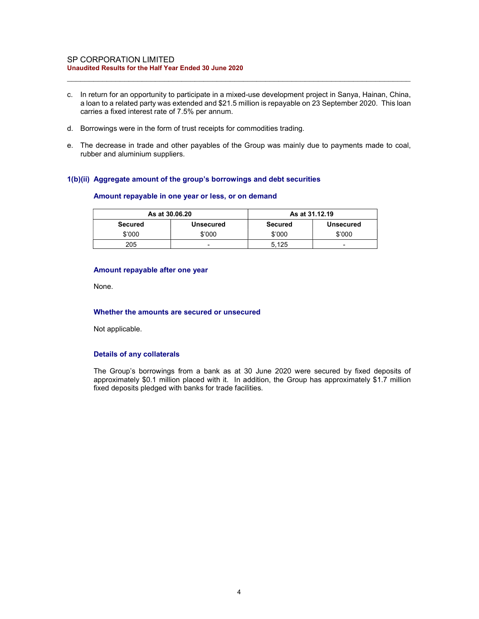#### SP CORPORATION LIMITED Unaudited Results for the Half Year Ended 30 June 2020

c. In return for an opportunity to participate in a mixed-use development project in Sanya, Hainan, China, a loan to a related party was extended and \$21.5 million is repayable on 23 September 2020. This loan carries a fixed interest rate of 7.5% per annum.

 $\_$  , and the set of the set of the set of the set of the set of the set of the set of the set of the set of the set of the set of the set of the set of the set of the set of the set of the set of the set of the set of th

- d. Borrowings were in the form of trust receipts for commodities trading.
- e. The decrease in trade and other payables of the Group was mainly due to payments made to coal, rubber and aluminium suppliers.

## 1(b)(ii) Aggregate amount of the group's borrowings and debt securities

#### Amount repayable in one year or less, or on demand

|         | As at 30,06,20   | As at 31.12.19 |                  |
|---------|------------------|----------------|------------------|
| Secured | <b>Unsecured</b> | <b>Secured</b> | <b>Unsecured</b> |
| \$'000  | \$'000           | \$'000         | \$'000           |
| 205     | -                | 5.125          | -                |

## Amount repayable after one year

None.

#### Whether the amounts are secured or unsecured

Not applicable.

## Details of any collaterals

The Group's borrowings from a bank as at 30 June 2020 were secured by fixed deposits of approximately \$0.1 million placed with it. In addition, the Group has approximately \$1.7 million fixed deposits pledged with banks for trade facilities.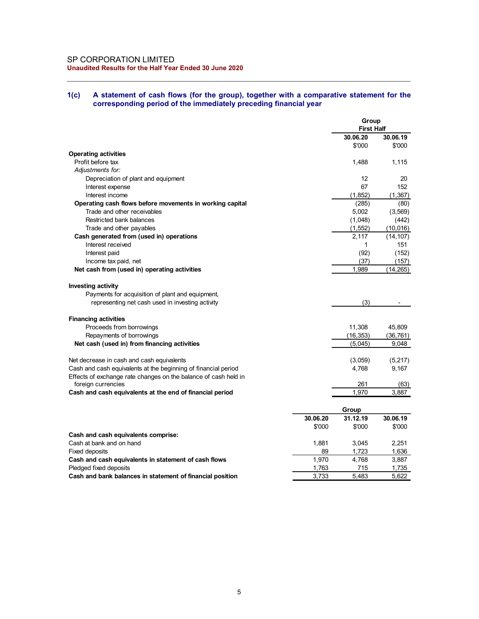## 1(c) A statement of cash flows (for the group), together with a comparative statement for the corresponding period of the immediately preceding financial year

| SP CORPORATION LIMITED                                                                           |             |                    |                       |
|--------------------------------------------------------------------------------------------------|-------------|--------------------|-----------------------|
| Unaudited Results for the Half Year Ended 30 June 2020                                           |             |                    |                       |
|                                                                                                  |             |                    |                       |
| A statement of cash flows (for the group), together with a comparative statement for the<br>1(c) |             |                    |                       |
| corresponding period of the immediately preceding financial year                                 |             |                    |                       |
|                                                                                                  |             | Group              |                       |
|                                                                                                  |             | <b>First Half</b>  |                       |
|                                                                                                  |             | 30.06.20<br>\$'000 | 30.06.19<br>\$'000    |
| <b>Operating activities</b>                                                                      |             |                    |                       |
| Profit before tax<br>Adjustments for:                                                            |             | 1,488              | 1,115                 |
| Depreciation of plant and equipment                                                              |             | 12                 | 20                    |
| Interest expense                                                                                 |             | 67                 | 152                   |
| Interest income<br>Operating cash flows before movements in working capital                      |             | (1, 852)<br>(285)  | (1, 367)<br>(80)      |
| Trade and other receivables                                                                      |             | 5,002              | (3, 569)              |
| Restricted bank balances                                                                         |             | (1,048)            | (442)                 |
| Trade and other payables<br>Cash generated from (used in) operations                             |             | (1, 552)<br>2,117  | (10,016)<br>(14, 107) |
| Interest received                                                                                |             | $\mathbf 1$        | 151                   |
| Interest paid                                                                                    |             | (92)               | (152)                 |
| Income tax paid, net<br>Net cash from (used in) operating activities                             |             | (37)<br>1,989      | (157)<br>(14, 265)    |
|                                                                                                  |             |                    |                       |
| <b>Investing activity</b><br>Payments for acquisition of plant and equipment,                    |             |                    |                       |
| representing net cash used in investing activity                                                 |             | (3)                |                       |
|                                                                                                  |             |                    |                       |
| <b>Financing activities</b><br>Proceeds from borrowings                                          |             | 11,308             | 45,809                |
| Repayments of borrowings                                                                         |             | (16, 353)          | (36, 761)             |
| Net cash (used in) from financing activities                                                     |             | (5,045)            | 9,048                 |
| Net decrease in cash and cash equivalents                                                        |             | (3,059)            | (5, 217)              |
| Cash and cash equivalents at the beginning of financial period                                   |             | 4,768              | 9,167                 |
| Effects of exchange rate changes on the balance of cash held in<br>foreign currencies            |             | 261                | (63)                  |
| Cash and cash equivalents at the end of financial period                                         |             | 1,970              | 3,887                 |
|                                                                                                  |             |                    |                       |
|                                                                                                  | 30.06.20    | Group<br>31.12.19  | 30.06.19              |
|                                                                                                  | \$'000      | \$'000             | \$'000                |
| Cash and cash equivalents comprise:                                                              |             |                    |                       |
| Cash at bank and on hand<br>Fixed deposits                                                       | 1,881<br>89 | 3,045<br>1,723     | 2,251<br>1,636        |
| Cash and cash equivalents in statement of cash flows                                             | 1,970       | 4,768              | 3,887                 |
| Pledged fixed deposits                                                                           | 1,763       | $715$              | 1,735                 |
| Cash and bank balances in statement of financial position                                        | 3,733       | 5,483              | 5,622                 |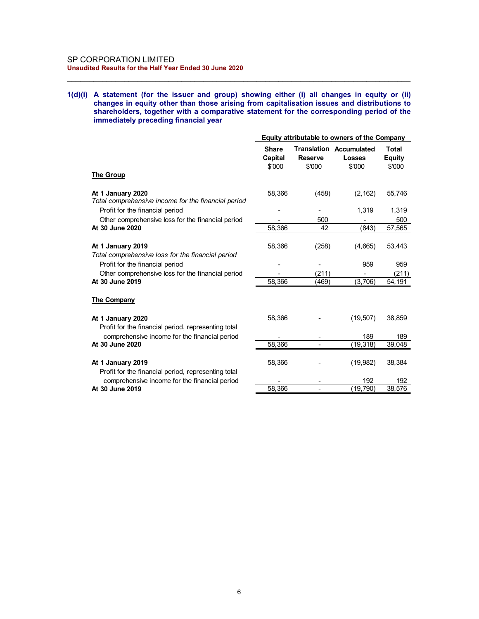#### SP CORPORATION LIMITED Unaudited Results for the Half Year Ended 30 June 2020

#### 1(d)(i) A statement (for the issuer and group) showing either (i) all changes in equity or (ii) changes in equity other than those arising from capitalisation issues and distributions to shareholders, together with a comparative statement for the corresponding period of the immediately preceding financial year

 $\_$  , and the set of the set of the set of the set of the set of the set of the set of the set of the set of the set of the set of the set of the set of the set of the set of the set of the set of the set of the set of th

| <b>ORPORATION LIMITED</b><br>lited Results for the Half Year Ended 30 June 2020            |                   |                          |                                              |                         |
|--------------------------------------------------------------------------------------------|-------------------|--------------------------|----------------------------------------------|-------------------------|
|                                                                                            |                   |                          |                                              |                         |
|                                                                                            |                   |                          |                                              |                         |
|                                                                                            |                   |                          |                                              |                         |
|                                                                                            |                   |                          |                                              |                         |
|                                                                                            |                   |                          |                                              |                         |
|                                                                                            |                   |                          |                                              |                         |
|                                                                                            |                   |                          |                                              |                         |
|                                                                                            |                   |                          |                                              |                         |
| A statement (for the issuer and group) showing either (i) all changes in equity or (ii)    |                   |                          |                                              |                         |
| changes in equity other than those arising from capitalisation issues and distributions to |                   |                          |                                              |                         |
| shareholders, together with a comparative statement for the corresponding period of the    |                   |                          |                                              |                         |
| immediately preceding financial year                                                       |                   |                          |                                              |                         |
|                                                                                            |                   |                          |                                              |                         |
|                                                                                            |                   |                          | Equity attributable to owners of the Company |                         |
|                                                                                            | <b>Share</b>      |                          | <b>Translation Accumulated</b>               | Total                   |
|                                                                                            | Capital<br>\$'000 | <b>Reserve</b><br>\$'000 | <b>Losses</b><br>\$'000                      | <b>Equity</b><br>\$'000 |
| <b>The Group</b>                                                                           |                   |                          |                                              |                         |
|                                                                                            |                   |                          |                                              |                         |
| At 1 January 2020                                                                          | 58,366            | (458)                    | (2, 162)                                     | 55,746                  |
| Total comprehensive income for the financial period                                        |                   |                          |                                              |                         |
| Profit for the financial period                                                            |                   |                          | 1,319                                        | 1,319                   |
| Other comprehensive loss for the financial period                                          |                   | 500                      | $\blacksquare$                               | 500                     |
| At 30 June 2020                                                                            | 58,366            | 42                       | (843)                                        | 57,565                  |
|                                                                                            |                   |                          |                                              |                         |
| At 1 January 2019<br>Total comprehensive loss for the financial period                     | 58,366            | (258)                    | (4,665)                                      | 53,443                  |
| Profit for the financial period                                                            | $\blacksquare$    |                          | 959                                          | 959                     |
| Other comprehensive loss for the financial period                                          | $\blacksquare$    | (211)                    | $\blacksquare$                               | (211)                   |
| At 30 June 2019                                                                            | 58,366            | (469)                    | (3,706)                                      | 54,191                  |
|                                                                                            |                   |                          |                                              |                         |
| <b>The Company</b>                                                                         |                   |                          |                                              |                         |
|                                                                                            |                   |                          |                                              |                         |
| At 1 January 2020                                                                          | 58,366            |                          | (19, 507)                                    | 38,859                  |
| Profit for the financial period, representing total                                        |                   |                          |                                              |                         |
| comprehensive income for the financial period                                              | $\blacksquare$    |                          | 189                                          | 189                     |
| At 30 June 2020                                                                            | 58,366            | $\blacksquare$           | (19, 318)                                    | 39,048                  |
|                                                                                            |                   |                          |                                              |                         |
| At 1 January 2019                                                                          | 58,366            |                          | (19,982)                                     | 38,384                  |
| Profit for the financial period, representing total                                        |                   |                          |                                              |                         |
|                                                                                            |                   |                          | 192                                          | 192                     |
| comprehensive income for the financial period<br>At 30 June 2019                           | 58,366            |                          | (19, 790)                                    | 38,576                  |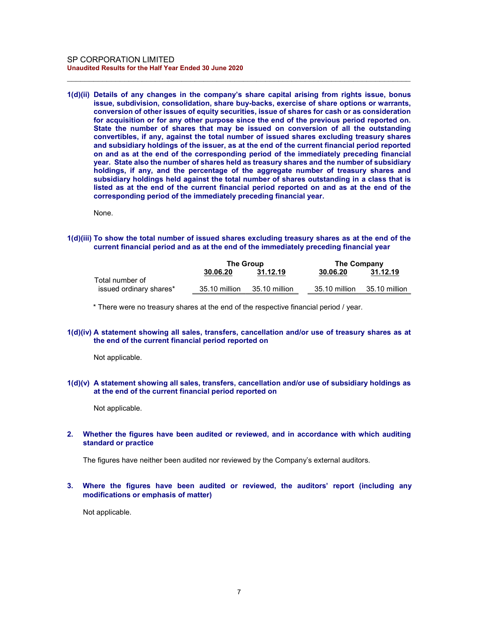1(d)(ii) Details of any changes in the company's share capital arising from rights issue, bonus issue, subdivision, consolidation, share buy-backs, exercise of share options or warrants, conversion of other issues of equity securities, issue of shares for cash or as consideration for acquisition or for any other purpose since the end of the previous period reported on. State the number of shares that may be issued on conversion of all the outstanding convertibles, if any, against the total number of issued shares excluding treasury shares and subsidiary holdings of the issuer, as at the end of the current financial period reported on and as at the end of the corresponding period of the immediately preceding financial year. State also the number of shares held as treasury shares and the number of subsidiary holdings, if any, and the percentage of the aggregate number of treasury shares and subsidiary holdings held against the total number of shares outstanding in a class that is listed as at the end of the current financial period reported on and as at the end of the corresponding period of the immediately preceding financial year.

 $\_$  , and the set of the set of the set of the set of the set of the set of the set of the set of the set of the set of the set of the set of the set of the set of the set of the set of the set of the set of the set of th

None.

#### 1(d)(iii) To show the total number of issued shares excluding treasury shares as at the end of the current financial period and as at the end of the immediately preceding financial year

|                         | The Group     |               | The Company   |               |
|-------------------------|---------------|---------------|---------------|---------------|
|                         | 30.06.20      | 31.12.19      | 30.06.20      | 31.12.19      |
| Total number of         |               |               |               |               |
| issued ordinary shares* | 35.10 million | 35.10 million | 35.10 million | 35.10 million |

\* There were no treasury shares at the end of the respective financial period / year.

## 1(d)(iv) A statement showing all sales, transfers, cancellation and/or use of treasury shares as at the end of the current financial period reported on

Not applicable.

## 1(d)(v) A statement showing all sales, transfers, cancellation and/or use of subsidiary holdings as at the end of the current financial period reported on

Not applicable.

## 2. Whether the figures have been audited or reviewed, and in accordance with which auditing standard or practice

The figures have neither been audited nor reviewed by the Company's external auditors.

## 3. Where the figures have been audited or reviewed, the auditors' report (including any modifications or emphasis of matter)

Not applicable.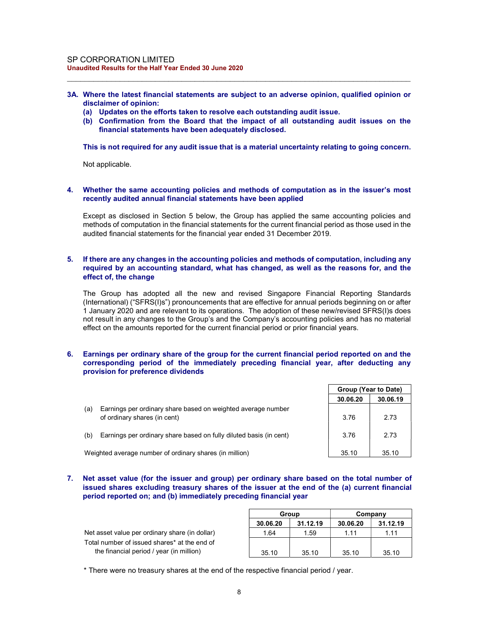3A. Where the latest financial statements are subject to an adverse opinion, qualified opinion or disclaimer of opinion:

 $\_$  , and the set of the set of the set of the set of the set of the set of the set of the set of the set of the set of the set of the set of the set of the set of the set of the set of the set of the set of the set of th

- (a) Updates on the efforts taken to resolve each outstanding audit issue.
- (b) Confirmation from the Board that the impact of all outstanding audit issues on the financial statements have been adequately disclosed.

This is not required for any audit issue that is a material uncertainty relating to going concern.

Not applicable.

## 4. Whether the same accounting policies and methods of computation as in the issuer's most recently audited annual financial statements have been applied

Except as disclosed in Section 5 below, the Group has applied the same accounting policies and methods of computation in the financial statements for the current financial period as those used in the audited financial statements for the financial year ended 31 December 2019.

## 5. If there are any changes in the accounting policies and methods of computation, including any required by an accounting standard, what has changed, as well as the reasons for, and the effect of, the change

The Group has adopted all the new and revised Singapore Financial Reporting Standards (International) ("SFRS(I)s") pronouncements that are effective for annual periods beginning on or after 1 January 2020 and are relevant to its operations. The adoption of these new/revised SFRS(I)s does not result in any changes to the Group's and the Company's accounting policies and has no material effect on the amounts reported for the current financial period or prior financial years.

## 6. Earnings per ordinary share of the group for the current financial period reported on and the corresponding period of the immediately preceding financial year, after deducting any provision for preference dividends

|     |                                                                                              | Group (Year to Date) |          |
|-----|----------------------------------------------------------------------------------------------|----------------------|----------|
|     |                                                                                              | 30.06.20             | 30.06.19 |
| (a) | Earnings per ordinary share based on weighted average number<br>of ordinary shares (in cent) | 3.76                 | 2.73     |
| (b) | Earnings per ordinary share based on fully diluted basis (in cent)                           | 3.76                 | 2.73     |
|     | Weighted average number of ordinary shares (in million)                                      | 35.10                | 35.10    |

## 7. Net asset value (for the issuer and group) per ordinary share based on the total number of issued shares excluding treasury shares of the issuer at the end of the (a) current financial period reported on; and (b) immediately preceding financial year

|                                                |          | Group    |          | Company  |
|------------------------------------------------|----------|----------|----------|----------|
|                                                | 30.06.20 | 31.12.19 | 30.06.20 | 31.12.19 |
| Net asset value per ordinary share (in dollar) | 1.64     | 1.59     | 1.11     | 1.11     |
| Total number of issued shares* at the end of   |          |          |          |          |
| the financial period / year (in million)       | 35.10    | 35.10    | 35.10    | 35.10    |

\* There were no treasury shares at the end of the respective financial period / year.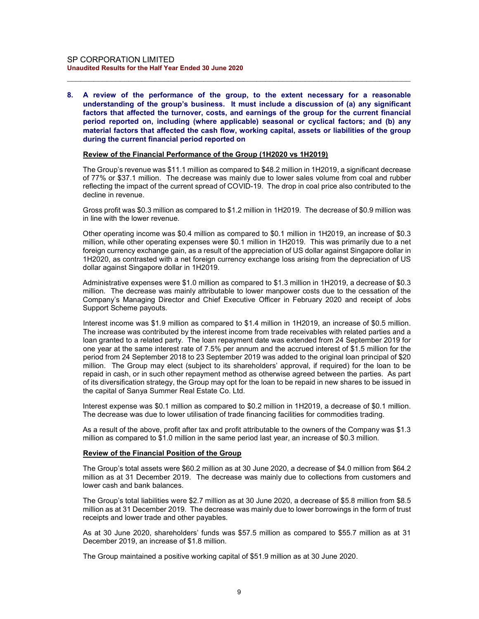8. A review of the performance of the group, to the extent necessary for a reasonable understanding of the group's business. It must include a discussion of (a) any significant factors that affected the turnover, costs, and earnings of the group for the current financial period reported on, including (where applicable) seasonal or cyclical factors; and (b) any material factors that affected the cash flow, working capital, assets or liabilities of the group during the current financial period reported on

 $\_$  , and the set of the set of the set of the set of the set of the set of the set of the set of the set of the set of the set of the set of the set of the set of the set of the set of the set of the set of the set of th

## Review of the Financial Performance of the Group (1H2020 vs 1H2019)

The Group's revenue was \$11.1 million as compared to \$48.2 million in 1H2019, a significant decrease of 77% or \$37.1 million. The decrease was mainly due to lower sales volume from coal and rubber reflecting the impact of the current spread of COVID-19. The drop in coal price also contributed to the decline in revenue.

Gross profit was \$0.3 million as compared to \$1.2 million in 1H2019. The decrease of \$0.9 million was in line with the lower revenue.

Other operating income was \$0.4 million as compared to \$0.1 million in 1H2019, an increase of \$0.3 million, while other operating expenses were \$0.1 million in 1H2019. This was primarily due to a net foreign currency exchange gain, as a result of the appreciation of US dollar against Singapore dollar in 1H2020, as contrasted with a net foreign currency exchange loss arising from the depreciation of US dollar against Singapore dollar in 1H2019.

Administrative expenses were \$1.0 million as compared to \$1.3 million in 1H2019, a decrease of \$0.3 million. The decrease was mainly attributable to lower manpower costs due to the cessation of the Company's Managing Director and Chief Executive Officer in February 2020 and receipt of Jobs Support Scheme payouts.

Interest income was \$1.9 million as compared to \$1.4 million in 1H2019, an increase of \$0.5 million. The increase was contributed by the interest income from trade receivables with related parties and a loan granted to a related party. The loan repayment date was extended from 24 September 2019 for one year at the same interest rate of 7.5% per annum and the accrued interest of \$1.5 million for the period from 24 September 2018 to 23 September 2019 was added to the original loan principal of \$20 million. The Group may elect (subject to its shareholders' approval, if required) for the loan to be repaid in cash, or in such other repayment method as otherwise agreed between the parties. As part of its diversification strategy, the Group may opt for the loan to be repaid in new shares to be issued in the capital of Sanya Summer Real Estate Co. Ltd.

Interest expense was \$0.1 million as compared to \$0.2 million in 1H2019, a decrease of \$0.1 million. The decrease was due to lower utilisation of trade financing facilities for commodities trading.

As a result of the above, profit after tax and profit attributable to the owners of the Company was \$1.3 million as compared to \$1.0 million in the same period last year, an increase of \$0.3 million.

## Review of the Financial Position of the Group

The Group's total assets were \$60.2 million as at 30 June 2020, a decrease of \$4.0 million from \$64.2 million as at 31 December 2019. The decrease was mainly due to collections from customers and lower cash and bank balances.

The Group's total liabilities were \$2.7 million as at 30 June 2020, a decrease of \$5.8 million from \$8.5 million as at 31 December 2019. The decrease was mainly due to lower borrowings in the form of trust receipts and lower trade and other payables.

As at 30 June 2020, shareholders' funds was \$57.5 million as compared to \$55.7 million as at 31 December 2019, an increase of \$1.8 million.

The Group maintained a positive working capital of \$51.9 million as at 30 June 2020.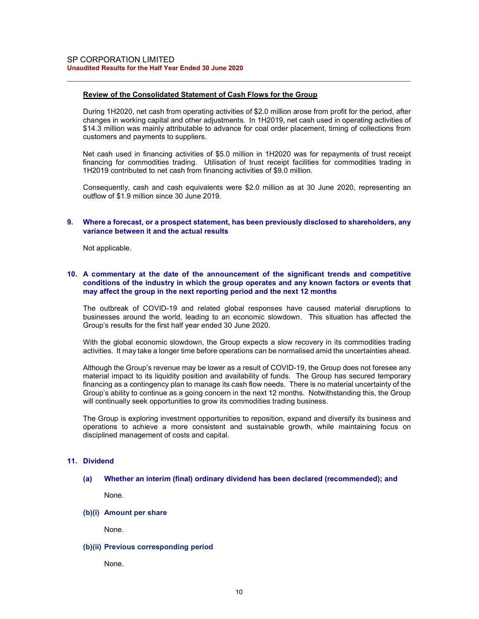## Review of the Consolidated Statement of Cash Flows for the Group

During 1H2020, net cash from operating activities of \$2.0 million arose from profit for the period, after changes in working capital and other adjustments. In 1H2019, net cash used in operating activities of \$14.3 million was mainly attributable to advance for coal order placement, timing of collections from customers and payments to suppliers.

 $\_$  , and the set of the set of the set of the set of the set of the set of the set of the set of the set of the set of the set of the set of the set of the set of the set of the set of the set of the set of the set of th

Net cash used in financing activities of \$5.0 million in 1H2020 was for repayments of trust receipt financing for commodities trading. Utilisation of trust receipt facilities for commodities trading in 1H2019 contributed to net cash from financing activities of \$9.0 million.

Consequently, cash and cash equivalents were \$2.0 million as at 30 June 2020, representing an outflow of \$1.9 million since 30 June 2019.

#### 9. Where a forecast, or a prospect statement, has been previously disclosed to shareholders, any variance between it and the actual results

Not applicable.

## 10. A commentary at the date of the announcement of the significant trends and competitive conditions of the industry in which the group operates and any known factors or events that may affect the group in the next reporting period and the next 12 months

The outbreak of COVID-19 and related global responses have caused material disruptions to businesses around the world, leading to an economic slowdown. This situation has affected the Group's results for the first half year ended 30 June 2020.

With the global economic slowdown, the Group expects a slow recovery in its commodities trading activities. It may take a longer time before operations can be normalised amid the uncertainties ahead.

Although the Group's revenue may be lower as a result of COVID-19, the Group does not foresee any material impact to its liquidity position and availability of funds. The Group has secured temporary financing as a contingency plan to manage its cash flow needs. There is no material uncertainty of the Group's ability to continue as a going concern in the next 12 months. Notwithstanding this, the Group will continually seek opportunities to grow its commodities trading business.

The Group is exploring investment opportunities to reposition, expand and diversify its business and operations to achieve a more consistent and sustainable growth, while maintaining focus on disciplined management of costs and capital.

## 11. Dividend

(a) Whether an interim (final) ordinary dividend has been declared (recommended); and

None.

(b)(i) Amount per share

None.

#### (b)(ii) Previous corresponding period

None.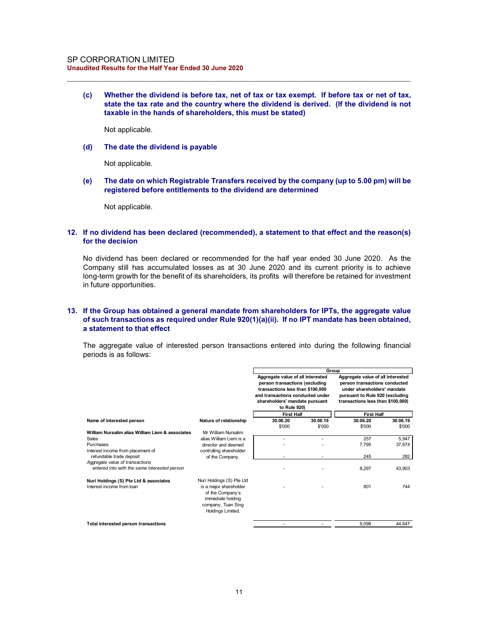(c) Whether the dividend is before tax, net of tax or tax exempt. If before tax or net of tax, state the tax rate and the country where the dividend is derived. (If the dividend is not taxable in the hands of shareholders, this must be stated)

 $\_$  , and the set of the set of the set of the set of the set of the set of the set of the set of the set of the set of the set of the set of the set of the set of the set of the set of the set of the set of the set of th

Not applicable.

(d) The date the dividend is payable

Not applicable.

(e) The date on which Registrable Transfers received by the company (up to 5.00 pm) will be registered before entitlements to the dividend are determined

Not applicable.

#### 12. If no dividend has been declared (recommended), a statement to that effect and the reason(s) for the decision

## 13. If the Group has obtained a general mandate from shareholders for IPTs, the aggregate value of such transactions as required under Rule 920(1)(a)(ii). If no IPT mandate has been obtained, a statement to that effect

| If no dividend has been declared (recommended), a statement to that effect and the reason(s)<br>for the decision                                                                                                                                                                                                                       |                                                                                                                                         |                                                                                                                                                                                               |          |                                                                                                                                                                           |                 |
|----------------------------------------------------------------------------------------------------------------------------------------------------------------------------------------------------------------------------------------------------------------------------------------------------------------------------------------|-----------------------------------------------------------------------------------------------------------------------------------------|-----------------------------------------------------------------------------------------------------------------------------------------------------------------------------------------------|----------|---------------------------------------------------------------------------------------------------------------------------------------------------------------------------|-----------------|
| No dividend has been declared or recommended for the half year ended 30 June 2020. As the<br>Company still has accumulated losses as at 30 June 2020 and its current priority is to achieve<br>long-term growth for the benefit of its shareholders, its profits will therefore be retained for investment<br>in future opportunities. |                                                                                                                                         |                                                                                                                                                                                               |          |                                                                                                                                                                           |                 |
| If the Group has obtained a general mandate from shareholders for IPTs, the aggregate value<br>of such transactions as required under Rule 920(1)(a)(ii). If no IPT mandate has been obtained,<br>a statement to that effect<br>The aggregate value of interested person transactions entered into during the following financial      |                                                                                                                                         |                                                                                                                                                                                               |          |                                                                                                                                                                           |                 |
| periods is as follows:                                                                                                                                                                                                                                                                                                                 |                                                                                                                                         |                                                                                                                                                                                               |          |                                                                                                                                                                           |                 |
|                                                                                                                                                                                                                                                                                                                                        |                                                                                                                                         |                                                                                                                                                                                               |          |                                                                                                                                                                           |                 |
|                                                                                                                                                                                                                                                                                                                                        |                                                                                                                                         | Aggregate value of all interested<br>person transactions (excluding<br>transactions less than \$100,000<br>and transactions conducted under<br>shareholders' mandate pursuant<br>to Rule 920) | Group    | Aggregate value of all interested<br>person transactions conducted<br>under shareholders' mandate<br>pursuant to Rule 920 (excluding<br>transactions less than \$100,000) |                 |
|                                                                                                                                                                                                                                                                                                                                        |                                                                                                                                         | <b>First Half</b>                                                                                                                                                                             |          | <b>First Half</b>                                                                                                                                                         |                 |
| Name of interested person                                                                                                                                                                                                                                                                                                              | Nature of relationship                                                                                                                  | 30.06.20                                                                                                                                                                                      | 30.06.19 | 30.06.20                                                                                                                                                                  | 30.06.19        |
|                                                                                                                                                                                                                                                                                                                                        |                                                                                                                                         | \$'000                                                                                                                                                                                        | \$'000   | \$'000                                                                                                                                                                    | \$'000          |
| William Nursalim alias William Liem & associates                                                                                                                                                                                                                                                                                       | Mr William Nursalim                                                                                                                     | $\blacksquare$                                                                                                                                                                                | $\sim$   |                                                                                                                                                                           |                 |
| Sales<br>Purchases                                                                                                                                                                                                                                                                                                                     | alias William Liem is a<br>director and deemed                                                                                          |                                                                                                                                                                                               |          | 257<br>7,795                                                                                                                                                              | 5,947<br>37,674 |
| Interest income from placement of                                                                                                                                                                                                                                                                                                      | controlling shareholder                                                                                                                 |                                                                                                                                                                                               |          |                                                                                                                                                                           |                 |
| refundable trade deposit                                                                                                                                                                                                                                                                                                               | of the Company.                                                                                                                         |                                                                                                                                                                                               |          | 245                                                                                                                                                                       | 282             |
| Aggregate value of transactions<br>entered into with the same interested person                                                                                                                                                                                                                                                        |                                                                                                                                         |                                                                                                                                                                                               |          |                                                                                                                                                                           |                 |
|                                                                                                                                                                                                                                                                                                                                        |                                                                                                                                         |                                                                                                                                                                                               |          | 8,297                                                                                                                                                                     | 43,903          |
| Nuri Holdings (S) Pte Ltd & associates<br>Interest income from loan                                                                                                                                                                                                                                                                    | Nuri Holdings (S) Pte Ltd<br>is a major shareholder<br>of the Company's<br>immediate holding<br>company, Tuan Sing<br>Holdings Limited. |                                                                                                                                                                                               |          | 801                                                                                                                                                                       | 744             |
| Total interested person transactions                                                                                                                                                                                                                                                                                                   |                                                                                                                                         |                                                                                                                                                                                               | $\sim$   | 9,098                                                                                                                                                                     | 44,647          |